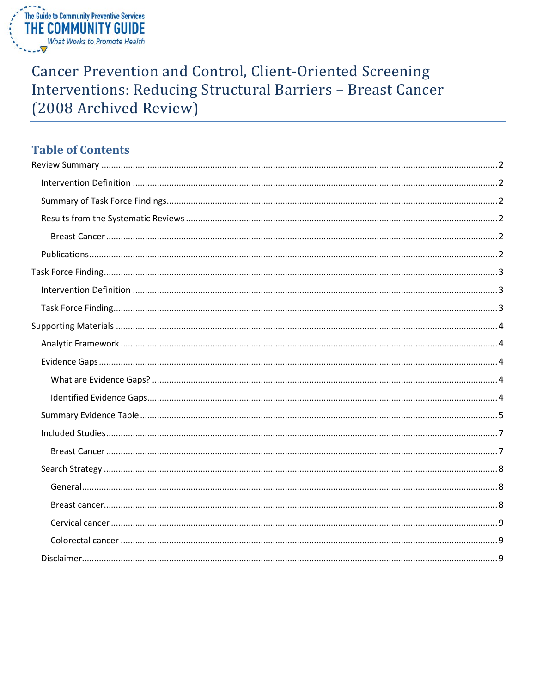

# **Cancer Prevention and Control, Client-Oriented Screening** Interventions: Reducing Structural Barriers - Breast Cancer (2008 Archived Review)

# **Table of Contents**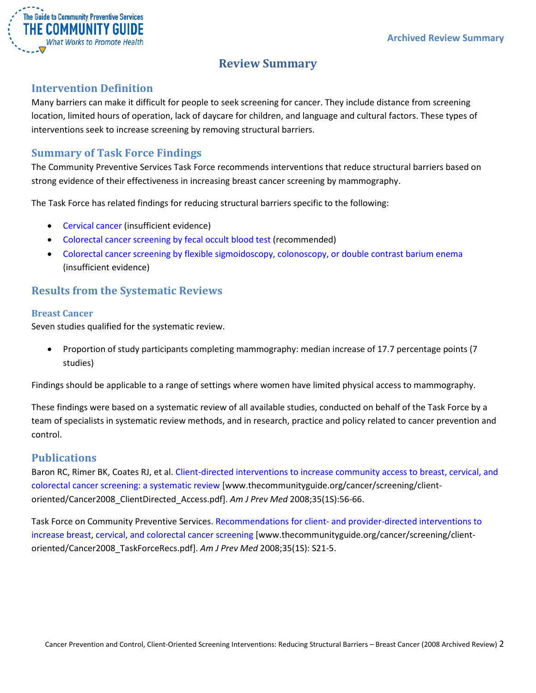

# **Review Summary**

## <span id="page-1-1"></span><span id="page-1-0"></span>**Intervention Definition**

Many barriers can make it difficult for people to seek screening for cancer. They include distance from screening location, limited hours of operation, lack of daycare for children, and language and cultural factors. These types of interventions seek to increase screening by removing structural barriers.

# <span id="page-1-2"></span>**Summary of Task Force Findings**

The Community Preventive Services Task Force recommends interventions that reduce structural barriers based on strong evidence of their effectiveness in increasing breast cancer screening by mammography.

The Task Force has related findings for reducing structural barriers specific to the following:

- Cervical cancer (insufficient evidence)
- Colorectal cancer screening by fecal occult blood test (recommended)
- Colorectal cancer screening by flexible sigmoidoscopy, colonoscopy, or double contrast barium enema (insufficient evidence)

## <span id="page-1-3"></span>**Results from the Systematic Reviews**

#### <span id="page-1-4"></span>**Breast Cancer**

Seven studies qualified for the systematic review.

• Proportion of study participants completing mammography: median increase of 17.7 percentage points (7 studies)

Findings should be applicable to a range of settings where women have limited physical access to mammography.

These findings were based on a systematic review of all available studies, conducted on behalf of the Task Force by a team of specialists in systematic review methods, and in research, practice and policy related to cancer prevention and control.

## <span id="page-1-5"></span>**Publications**

Baron RC, Rimer BK, Coates RJ, et al[. Client-directed interventions to increase community access to breast, cervical, and](http://www.thecommunityguide.org/cancer/screening/client-oriented/Cancer2008_ClientDirected_Access.pdf)  [colorectal cancer screening: a systematic review](http://www.thecommunityguide.org/cancer/screening/client-oriented/Cancer2008_ClientDirected_Access.pdf) [www.thecommunityguide.org/cancer/screening/clientoriented/Cancer2008\_ClientDirected\_Access.pdf]. *Am J Prev Med* 2008;35(1S):56-66.

Task Force on Community Preventive Services. Recommendations for client- [and provider-directed interventions to](http://www.thecommunityguide.org/cancer/screening/client-oriented/Cancer2008_TaskForceRecs.pdf)  [increase breast, cervical, and colorectal cancer screening](http://www.thecommunityguide.org/cancer/screening/client-oriented/Cancer2008_TaskForceRecs.pdf) [www.thecommunityguide.org/cancer/screening/clientoriented/Cancer2008\_TaskForceRecs.pdf]. *Am J Prev Med* 2008;35(1S): S21-5.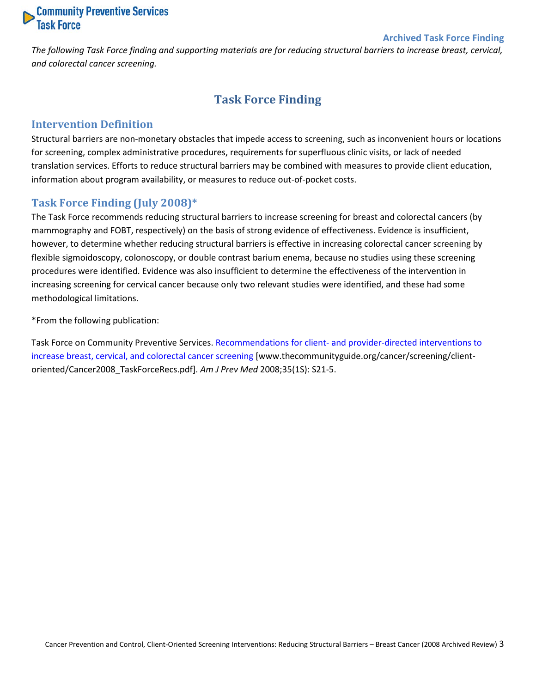# **Community Preventive Services**<br>Task Force

#### **Archived Task Force Finding**

<span id="page-2-0"></span>*The following Task Force finding and supporting materials are for reducing structural barriers to increase breast, cervical, and colorectal cancer screening.*

# **Task Force Finding**

## <span id="page-2-1"></span>**Intervention Definition**

Structural barriers are non-monetary obstacles that impede access to screening, such as inconvenient hours or locations for screening, complex administrative procedures, requirements for superfluous clinic visits, or lack of needed translation services. Efforts to reduce structural barriers may be combined with measures to provide client education, information about program availability, or measures to reduce out-of-pocket costs.

## <span id="page-2-2"></span>**Task Force Finding (July 2008)\***

The Task Force recommends reducing structural barriers to increase screening for breast and colorectal cancers (by mammography and FOBT, respectively) on the basis of strong evidence of effectiveness. Evidence is insufficient, however, to determine whether reducing structural barriers is effective in increasing colorectal cancer screening by flexible sigmoidoscopy, colonoscopy, or double contrast barium enema, because no studies using these screening procedures were identified. Evidence was also insufficient to determine the effectiveness of the intervention in increasing screening for cervical cancer because only two relevant studies were identified, and these had some methodological limitations.

\*From the following publication:

Task Force on Community Preventive Services. Recommendations for client- [and provider-directed interventions to](http://www.thecommunityguide.org/cancer/screening/client-oriented/Cancer2008_TaskForceRecs.pdf)  [increase breast, cervical, and colorectal cancer screening](http://www.thecommunityguide.org/cancer/screening/client-oriented/Cancer2008_TaskForceRecs.pdf) [www.thecommunityguide.org/cancer/screening/clientoriented/Cancer2008\_TaskForceRecs.pdf]. *Am J Prev Med* 2008;35(1S): S21-5.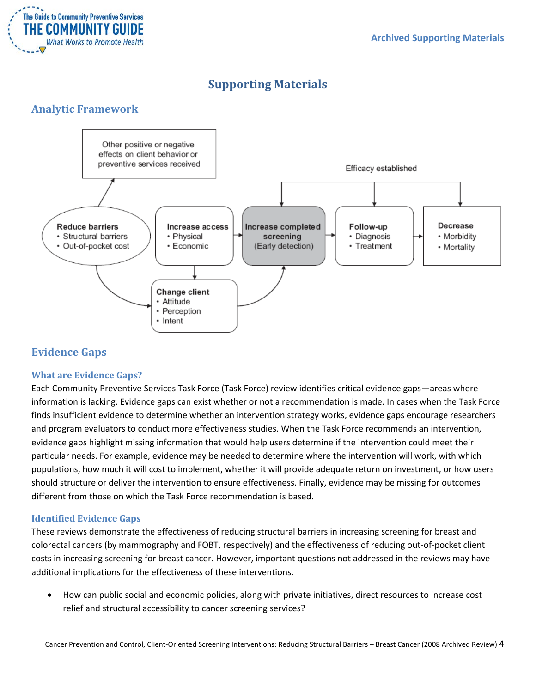

# **Supporting Materials**

# <span id="page-3-1"></span><span id="page-3-0"></span>**Analytic Framework**



# <span id="page-3-2"></span>**Evidence Gaps**

#### <span id="page-3-3"></span>**What are Evidence Gaps?**

Each Community Preventive Services Task Force (Task Force) review identifies critical evidence gaps—areas where information is lacking. Evidence gaps can exist whether or not a recommendation is made. In cases when the Task Force finds insufficient evidence to determine whether an intervention strategy works, evidence gaps encourage researchers and program evaluators to conduct more effectiveness studies. When the Task Force recommends an intervention, evidence gaps highlight missing information that would help users determine if the intervention could meet their particular needs. For example, evidence may be needed to determine where the intervention will work, with which populations, how much it will cost to implement, whether it will provide adequate return on investment, or how users should structure or deliver the intervention to ensure effectiveness. Finally, evidence may be missing for outcomes different from those on which the Task Force recommendation is based.

#### <span id="page-3-4"></span>**Identified Evidence Gaps**

These reviews demonstrate the effectiveness of reducing structural barriers in increasing screening for breast and colorectal cancers (by mammography and FOBT, respectively) and the effectiveness of reducing out-of-pocket client costs in increasing screening for breast cancer. However, important questions not addressed in the reviews may have additional implications for the effectiveness of these interventions.

• How can public social and economic policies, along with private initiatives, direct resources to increase cost relief and structural accessibility to cancer screening services?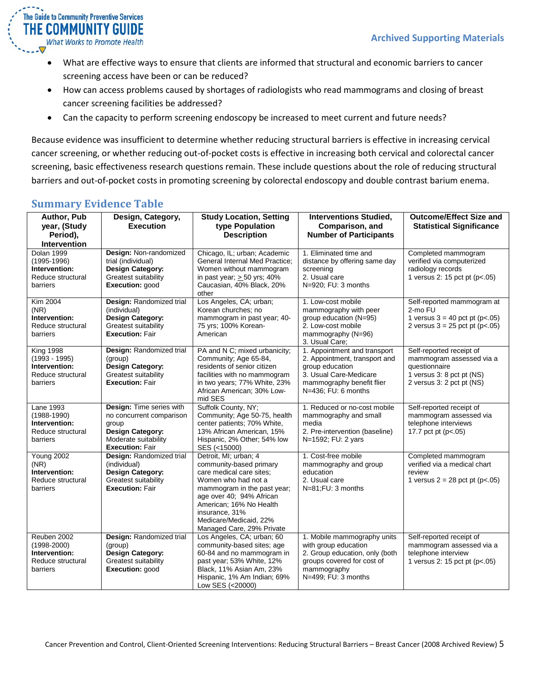

- What are effective ways to ensure that clients are informed that structural and economic barriers to cancer screening access have been or can be reduced?
- How can access problems caused by shortages of radiologists who read mammograms and closing of breast cancer screening facilities be addressed?
- Can the capacity to perform screening endoscopy be increased to meet current and future needs?

Because evidence was insufficient to determine whether reducing structural barriers is effective in increasing cervical cancer screening, or whether reducing out-of-pocket costs is effective in increasing both cervical and colorectal cancer screening, basic effectiveness research questions remain. These include questions about the role of reducing structural barriers and out-of-pocket costs in promoting screening by colorectal endoscopy and double contrast barium enema.

# <span id="page-4-0"></span>**Summary Evidence Table**

| <b>Author, Pub</b><br>year, (Study<br>Period),<br><b>Intervention</b>                 | Design, Category,<br><b>Execution</b>                                                                                                      | <b>Study Location, Setting</b><br>type Population<br><b>Description</b>                                                                                                                                                                                            | <b>Interventions Studied,</b><br>Comparison, and<br><b>Number of Participants</b>                                                                              | <b>Outcome/Effect Size and</b><br><b>Statistical Significance</b>                                                               |
|---------------------------------------------------------------------------------------|--------------------------------------------------------------------------------------------------------------------------------------------|--------------------------------------------------------------------------------------------------------------------------------------------------------------------------------------------------------------------------------------------------------------------|----------------------------------------------------------------------------------------------------------------------------------------------------------------|---------------------------------------------------------------------------------------------------------------------------------|
| Dolan 1999<br>$(1995 - 1996)$<br>Intervention:<br>Reduce structural<br>barriers       | Design: Non-randomized<br>trial (individual)<br><b>Design Category:</b><br>Greatest suitability<br>Execution: good                         | Chicago, IL; urban; Academic<br><b>General Internal Med Practice:</b><br>Women without mammogram<br>in past year; $> 50$ yrs; 40%<br>Caucasian, 40% Black, 20%<br>other                                                                                            | 1. Eliminated time and<br>distance by offering same day<br>screening<br>2. Usual care<br>N=920; FU: 3 months                                                   | Completed mammogram<br>verified via computerized<br>radiology records<br>1 versus 2: 15 pct pt (p<.05)                          |
| Kim 2004<br>(NR)<br>Intervention:<br>Reduce structural<br>barriers                    | Design: Randomized trial<br>(individual)<br><b>Design Category:</b><br>Greatest suitability<br><b>Execution: Fair</b>                      | Los Angeles, CA; urban;<br>Korean churches; no<br>mammogram in past year; 40-<br>75 yrs; 100% Korean-<br>American                                                                                                                                                  | 1. Low-cost mobile<br>mammography with peer<br>group education (N=95)<br>2. Low-cost mobile<br>mammography (N=96)<br>3. Usual Care;                            | Self-reported mammogram at<br>2-mo FU<br>1 versus $3 = 40$ pct pt (p<.05)<br>2 versus $3 = 25$ pct pt (p<.05)                   |
| <b>King 1998</b><br>$(1993 - 1995)$<br>Intervention:<br>Reduce structural<br>barriers | Design: Randomized trial<br>(group)<br><b>Design Category:</b><br>Greatest suitability<br><b>Execution: Fair</b>                           | PA and N C; mixed urbanicity;<br>Community; Age 65-84,<br>residents of senior citizen<br>facilities with no mammogram<br>in two years; 77% White, 23%<br>African American; 30% Low-<br>mid SES                                                                     | 1. Appointment and transport<br>2. Appointment, transport and<br>group education<br>3. Usual Care-Medicare<br>mammography benefit flier<br>N=436; FU: 6 months | Self-reported receipt of<br>mammogram assessed via a<br>questionnaire<br>1 versus 3: 8 pct pt (NS)<br>2 versus 3: 2 pct pt (NS) |
| <b>Lane 1993</b><br>$(1988 - 1990)$<br>Intervention:<br>Reduce structural<br>barriers | Design: Time series with<br>no concurrent comparison<br>group<br><b>Design Category:</b><br>Moderate suitability<br><b>Execution: Fair</b> | Suffolk County, NY;<br>Community; Age 50-75, health<br>center patients; 70% White,<br>13% African American, 15%<br>Hispanic, 2% Other; 54% low<br>SES (<15000)                                                                                                     | 1. Reduced or no-cost mobile<br>mammography and small<br>media<br>2. Pre-intervention (baseline)<br>N=1592; FU: 2 yars                                         | Self-reported receipt of<br>mammogram assessed via<br>telephone interviews<br>17.7 pct pt $(p<.05)$                             |
| Young 2002<br>(NR)<br>Intervention:<br>Reduce structural<br>barriers                  | Design: Randomized trial<br>(individual)<br>Design Category:<br>Greatest suitability<br><b>Execution: Fair</b>                             | Detroit, MI; urban; 4<br>community-based primary<br>care medical care sites;<br>Women who had not a<br>mammogram in the past year;<br>age over 40; 94% African<br>American; 16% No Health<br>insurance, 31%<br>Medicare/Medicaid, 22%<br>Managed Care, 29% Private | 1. Cost-free mobile<br>mammography and group<br>education<br>2. Usual care<br>N=81;FU: 3 months                                                                | Completed mammogram<br>verified via a medical chart<br>review<br>1 versus $2 = 28$ pct pt (p<.05)                               |
| Reuben 2002<br>$(1998 - 2000)$<br>Intervention:<br>Reduce structural<br>barriers      | Design: Randomized trial<br>(group)<br>Design Category:<br>Greatest suitability<br>Execution: good                                         | Los Angeles, CA; urban; 60<br>community-based sites; age<br>60-84 and no mammogram in<br>past year; 53% White, 12%<br>Black, 11% Asian Am, 23%<br>Hispanic, 1% Am Indian; 69%<br>Low SES (<20000)                                                                  | 1. Mobile mammography units<br>with group education<br>2. Group education, only (both<br>groups covered for cost of<br>mammography<br>N=499; FU: 3 months      | Self-reported receipt of<br>mammogram assessed via a<br>telephone interview<br>1 versus 2: 15 pct pt (p<.05)                    |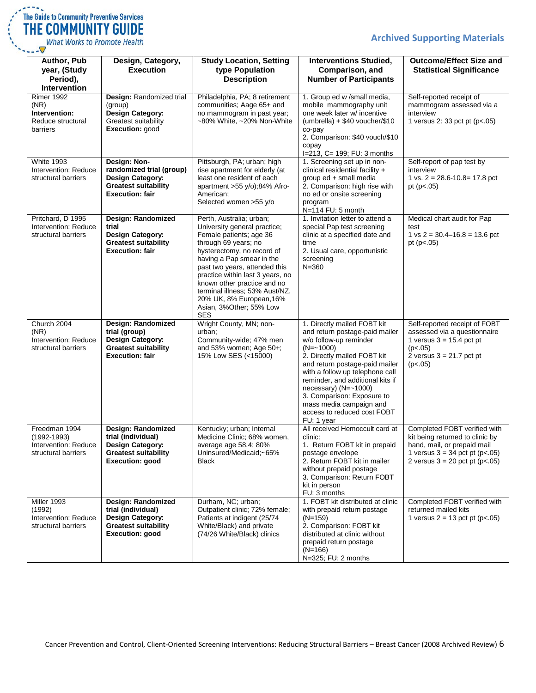# **Archived Supporting Materials**



| Author, Pub<br>year, (Study<br>Period),<br>Intervention                     | Design, Category,<br><b>Execution</b>                                                                                        | <b>Study Location, Setting</b><br>type Population<br><b>Description</b>                                                                                                                                                                                                                                                                                                           | <b>Interventions Studied,</b><br>Comparison, and<br><b>Number of Participants</b>                                                                                                                                                                                                                                                                                                | <b>Outcome/Effect Size and</b><br><b>Statistical Significance</b>                                                                                                      |
|-----------------------------------------------------------------------------|------------------------------------------------------------------------------------------------------------------------------|-----------------------------------------------------------------------------------------------------------------------------------------------------------------------------------------------------------------------------------------------------------------------------------------------------------------------------------------------------------------------------------|----------------------------------------------------------------------------------------------------------------------------------------------------------------------------------------------------------------------------------------------------------------------------------------------------------------------------------------------------------------------------------|------------------------------------------------------------------------------------------------------------------------------------------------------------------------|
| <b>Rimer 1992</b><br>(NR)<br>Intervention:<br>Reduce structural<br>barriers | Design: Randomized trial<br>(group)<br><b>Design Category:</b><br>Greatest suitability<br>Execution: good                    | Philadelphia, PA; 8 retirement<br>communities; Aage 65+ and<br>no mammogram in past year;<br>~80% White, ~20% Non-White                                                                                                                                                                                                                                                           | 1. Group ed w /small media,<br>mobile mammography unit<br>one week later w/ incentive<br>$(umbrella) + $40$ voucher/\$10<br>co-pay<br>2. Comparison: \$40 vouch/\$10<br>copay<br>I=213, C= 199; FU: 3 months                                                                                                                                                                     | Self-reported receipt of<br>mammogram assessed via a<br>interview<br>1 versus 2: 33 pct pt (p<.05)                                                                     |
| <b>White 1993</b><br>Intervention: Reduce<br>structural barriers            | Design: Non-<br>randomized trial (group)<br><b>Design Category:</b><br><b>Greatest suitability</b><br><b>Execution: fair</b> | Pittsburgh, PA; urban; high<br>rise apartment for elderly (at<br>least one resident of each<br>apartment $>55 y/o$ ; 84% Afro-<br>American;<br>Selected women >55 y/o                                                                                                                                                                                                             | 1. Screening set up in non-<br>clinical residential facility +<br>group ed + small media<br>2. Comparison: high rise with<br>no ed or onsite screening<br>program<br>N=114 FU: 5 month                                                                                                                                                                                           | Self-report of pap test by<br>interview<br>1 vs. $2 = 28.6 - 10.8 = 17.8$ pct<br>pt ( $p < .05$ )                                                                      |
| Pritchard, D 1995<br>Intervention: Reduce<br>structural barriers            | Design: Randomized<br>trial<br>Design Category:<br><b>Greatest suitability</b><br><b>Execution: fair</b>                     | Perth, Australia; urban;<br>University general practice;<br>Female patients; age 36<br>through 69 years; no<br>hysterectomy, no record of<br>having a Pap smear in the<br>past two years, attended this<br>practice within last 3 years, no<br>known other practice and no<br>terminal illness; 53% Aust/NZ,<br>20% UK, 8% European, 16%<br>Asian, 3%Other; 55% Low<br><b>SES</b> | 1. Invitation letter to attend a<br>special Pap test screening<br>clinic at a specified date and<br>time<br>2. Usual care, opportunistic<br>screening<br>$N = 360$                                                                                                                                                                                                               | Medical chart audit for Pap<br>test<br>1 vs $2 = 30.4 - 16.8 = 13.6$ pct<br>pt ( $p < .05$ )                                                                           |
| Church 2004<br>(NR)<br>Intervention: Reduce<br>structural barriers          | Design: Randomized<br>trial (group)<br><b>Design Category:</b><br><b>Greatest suitability</b><br><b>Execution: fair</b>      | Wright County, MN; non-<br>urban;<br>Community-wide; 47% men<br>and $53\%$ women; Age $50+$ ;<br>15% Low SES (<15000)                                                                                                                                                                                                                                                             | 1. Directly mailed FOBT kit<br>and return postage-paid mailer<br>w/o follow-up reminder<br>$(N = -1000)$<br>2. Directly mailed FOBT kit<br>and return postage-paid mailer<br>with a follow up telephone call<br>reminder, and additional kits if<br>necessary) $(N=-1000)$<br>3. Comparison: Exposure to<br>mass media campaign and<br>access to reduced cost FOBT<br>FU: 1 year | Self-reported receipt of FOBT<br>assessed via a questionnaire<br>1 versus $3 = 15.4$ pct pt<br>(p<.05)<br>$2$ versus $3 = 21.7$ pct pt<br>(p<.05)                      |
| Freedman 1994<br>(1992-1993)<br>Intervention: Reduce<br>structural barriers | Design: Randomized<br>trial (individual)<br>Design Category:<br><b>Greatest suitability</b><br><b>Execution: good</b>        | Kentucky; urban; Internal<br>Medicine Clinic; 68% women,<br>average age 58.4; 80%<br>Uninsured/Medicaid;~65%<br><b>Black</b>                                                                                                                                                                                                                                                      | All received Hemoccult card at<br>clinic:<br>1. Return FOBT kit in prepaid<br>postage envelope<br>2. Return FOBT kit in mailer<br>without prepaid postage<br>3. Comparison: Return FOBT<br>kit in person<br>FU: 3 months                                                                                                                                                         | Completed FOBT verified with<br>kit being returned to clinic by<br>hand, mail, or prepaid mail<br>1 versus $3 = 34$ pct pt (p<.05)<br>2 versus $3 = 20$ pct pt (p<.05) |
| Miller 1993<br>(1992)<br>Intervention: Reduce<br>structural barriers        | Design: Randomized<br>trial (individual)<br>Design Category:<br><b>Greatest suitability</b><br><b>Execution: good</b>        | Durham, NC; urban;<br>Outpatient clinic; 72% female;<br>Patients at indigent (25/74<br>White/Black) and private<br>(74/26 White/Black) clinics                                                                                                                                                                                                                                    | 1. FOBT kit distributed at clinic<br>with prepaid return postage<br>$(N=159)$<br>2. Comparison: FOBT kit<br>distributed at clinic without<br>prepaid return postage<br>$(N=166)$<br>N=325; FU: 2 months                                                                                                                                                                          | Completed FOBT verified with<br>returned mailed kits<br>1 versus $2 = 13$ pct pt (p<.05)                                                                               |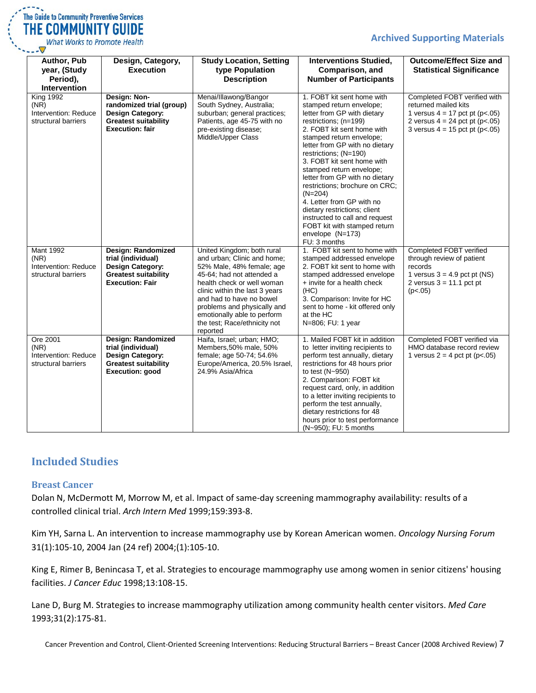# The Guide to Community Preventive Services THE COMMUNITY GUIDE What Works to Promote Health

#### **Archived Supporting Materials**

| Author, Pub<br>year, (Study<br>Period),<br>Intervention                 | Design, Category,<br><b>Execution</b>                                                                                        | <b>Study Location, Setting</b><br>type Population<br><b>Description</b>                                                                                                                                                                                                                                                   | <b>Interventions Studied,</b><br>Comparison, and<br><b>Number of Participants</b>                                                                                                                                                                                                                                                                                                                                                                                                                                                                   | <b>Outcome/Effect Size and</b><br><b>Statistical Significance</b>                                                                                                |
|-------------------------------------------------------------------------|------------------------------------------------------------------------------------------------------------------------------|---------------------------------------------------------------------------------------------------------------------------------------------------------------------------------------------------------------------------------------------------------------------------------------------------------------------------|-----------------------------------------------------------------------------------------------------------------------------------------------------------------------------------------------------------------------------------------------------------------------------------------------------------------------------------------------------------------------------------------------------------------------------------------------------------------------------------------------------------------------------------------------------|------------------------------------------------------------------------------------------------------------------------------------------------------------------|
| <b>King 1992</b><br>(NR)<br>Intervention: Reduce<br>structural barriers | Design: Non-<br>randomized trial (group)<br><b>Design Category:</b><br><b>Greatest suitability</b><br><b>Execution: fair</b> | Menai/Illawong/Bangor<br>South Sydney, Australia;<br>suburban; general practices;<br>Patients, age 45-75 with no<br>pre-existing disease;<br>Middle/Upper Class                                                                                                                                                           | 1. FOBT kit sent home with<br>stamped return envelope;<br>letter from GP with dietary<br>restrictions; (n=199)<br>2. FOBT kit sent home with<br>stamped return envelope;<br>letter from GP with no dietary<br>restrictions; (N=190)<br>3. FOBT kit sent home with<br>stamped return envelope;<br>letter from GP with no dietary<br>restrictions; brochure on CRC;<br>$(N=204)$<br>4. Letter from GP with no<br>dietary restrictions; client<br>instructed to call and request<br>FOBT kit with stamped return<br>envelope $(N=173)$<br>FU: 3 months | Completed FOBT verified with<br>returned mailed kits<br>1 versus $4 = 17$ pct pt (p<.05)<br>2 versus $4 = 24$ pct pt (p<.05)<br>3 versus $4 = 15$ pct pt (p<.05) |
| <b>Mant 1992</b><br>(NR)<br>Intervention: Reduce<br>structural barriers | Design: Randomized<br>trial (individual)<br><b>Design Category:</b><br><b>Greatest suitability</b><br><b>Execution: Fair</b> | United Kingdom; both rural<br>and urban; Clinic and home;<br>52% Male, 48% female; age<br>45-64; had not attended a<br>health check or well woman<br>clinic within the last 3 years<br>and had to have no bowel<br>problems and physically and<br>emotionally able to perform<br>the test; Race/ethnicity not<br>reported | 1. FOBT kit sent to home with<br>stamped addressed envelope<br>2. FOBT kit sent to home with<br>stamped addressed envelope<br>+ invite for a health check<br>(HC)<br>3. Comparison: Invite for HC<br>sent to home - kit offered only<br>at the HC<br>N=806; FU: 1 year                                                                                                                                                                                                                                                                              | Completed FOBT verified<br>through review of patient<br>records<br>1 versus $3 = 4.9$ pct pt (NS)<br>2 versus $3 = 11.1$ pct pt<br>(p<.05)                       |
| Ore 2001<br>(NR)<br>Intervention: Reduce<br>structural barriers         | Design: Randomized<br>trial (individual)<br><b>Design Category:</b><br><b>Greatest suitability</b><br><b>Execution: good</b> | Haifa, Israel; urban; HMO;<br>Members, 50% male, 50%<br>female; age 50-74; 54.6%<br>Europe/America, 20.5% Israel,<br>24.9% Asia/Africa                                                                                                                                                                                    | 1. Mailed FOBT kit in addition<br>to letter inviting recipients to<br>perform test annually, dietary<br>restrictions for 48 hours prior<br>to test $(N-950)$<br>2. Comparison: FOBT kit<br>request card, only, in addition<br>to a letter inviting recipients to<br>perform the test annually,<br>dietary restrictions for 48<br>hours prior to test performance<br>(N~950); FU: 5 months                                                                                                                                                           | Completed FOBT verified via<br>HMO database record review<br>1 versus $2 = 4$ pct pt (p<.05)                                                                     |

# <span id="page-6-0"></span>**Included Studies**

#### <span id="page-6-1"></span>**Breast Cancer**

Dolan N, McDermott M, Morrow M, et al. Impact of same-day screening mammography availability: results of a controlled clinical trial. *Arch Intern Med* 1999;159:393-8.

Kim YH, Sarna L. An intervention to increase mammography use by Korean American women. *Oncology Nursing Forum* 31(1):105-10, 2004 Jan (24 ref) 2004;(1):105-10.

King E, Rimer B, Benincasa T, et al. Strategies to encourage mammography use among women in senior citizens' housing facilities. *J Cancer Educ* 1998;13:108-15.

Lane D, Burg M. Strategies to increase mammography utilization among community health center visitors. *Med Care* 1993;31(2):175-81.

Cancer Prevention and Control, Client-Oriented Screening Interventions: Reducing Structural Barriers – Breast Cancer (2008 Archived Review) 7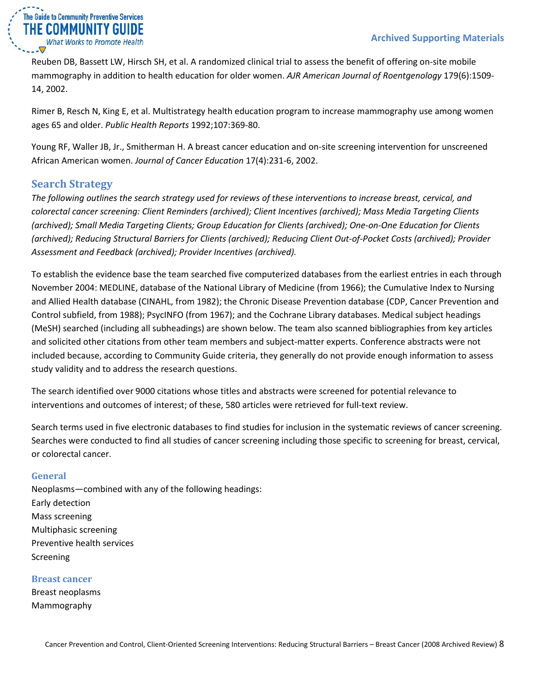

Reuben DB, Bassett LW, Hirsch SH, et al. A randomized clinical trial to assess the benefit of offering on-site mobile mammography in addition to health education for older women. *AJR American Journal of Roentgenology* 179(6):1509- 14, 2002.

Rimer B, Resch N, King E, et al. Multistrategy health education program to increase mammography use among women ages 65 and older. *Public Health Reports* 1992;107:369-80.

Young RF, Waller JB, Jr., Smitherman H. A breast cancer education and on-site screening intervention for unscreened African American women. *Journal of Cancer Education* 17(4):231-6, 2002.

# <span id="page-7-0"></span>**Search Strategy**

*The following outlines the search strategy used for reviews of these interventions to increase breast, cervical, and colorectal cancer screening: Client Reminders (archived); Client Incentives (archived); Mass Media Targeting Clients (archived); Small Media Targeting Clients; Group Education for Clients (archived); One-on-One Education for Clients (archived); Reducing Structural Barriers for Clients (archived); Reducing Client Out-of-Pocket Costs (archived); Provider Assessment and Feedback (archived); Provider Incentives (archived).*

To establish the evidence base the team searched five computerized databases from the earliest entries in each through November 2004: MEDLINE, database of the National Library of Medicine (from 1966); the Cumulative Index to Nursing and Allied Health database (CINAHL, from 1982); the Chronic Disease Prevention database (CDP, Cancer Prevention and Control subfield, from 1988); PsycINFO (from 1967); and the Cochrane Library databases. Medical subject headings (MeSH) searched (including all subheadings) are shown below. The team also scanned bibliographies from key articles and solicited other citations from other team members and subject-matter experts. Conference abstracts were not included because, according to Community Guide criteria, they generally do not provide enough information to assess study validity and to address the research questions.

The search identified over 9000 citations whose titles and abstracts were screened for potential relevance to interventions and outcomes of interest; of these, 580 articles were retrieved for full-text review.

Search terms used in five electronic databases to find studies for inclusion in the systematic reviews of cancer screening. Searches were conducted to find all studies of cancer screening including those specific to screening for breast, cervical, or colorectal cancer.

## <span id="page-7-1"></span>**General**

Neoplasms—combined with any of the following headings: Early detection Mass screening Multiphasic screening Preventive health services Screening

#### <span id="page-7-2"></span>**Breast cancer**

Breast neoplasms Mammography